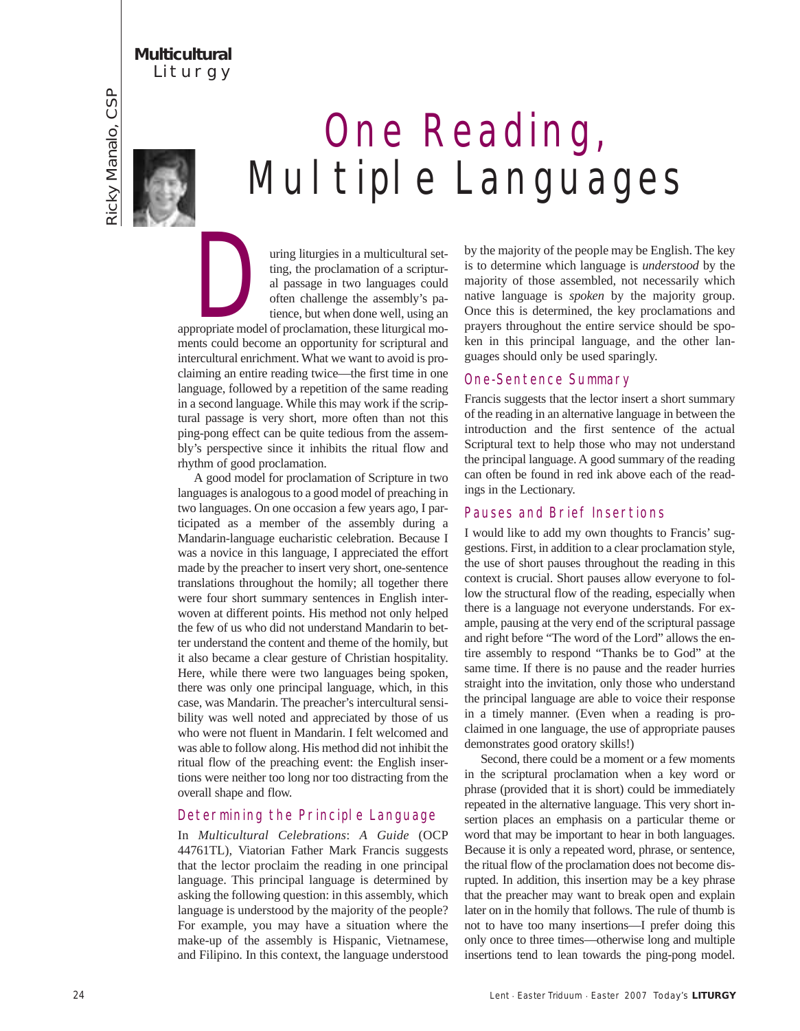## *Multicultural* **LITURGY**

Ricky Manalo, CSP Ricky Manalo, CSP

# One Reading, Multiple Languages

The part of the proclamation of a scripture all passage in two languages could often challenge the assembly's partience, but when done well, using an ting, the proclamation of a scriptural passage in two languages could often challenge the assembly's patience, but when done well, using an appropriate model of proclamation, these liturgical moments could become an opportunity for scriptural and intercultural enrichment. What we want to avoid is proclaiming an entire reading twice—the first time in one language, followed by a repetition of the same reading in a second language. While this may work if the scriptural passage is very short, more often than not this ping-pong effect can be quite tedious from the assembly's perspective since it inhibits the ritual flow and rhythm of good proclamation.

A good model for proclamation of Scripture in two languages is analogous to a good model of preaching in two languages. On one occasion a few years ago, I participated as a member of the assembly during a Mandarin-language eucharistic celebration. Because I was a novice in this language, I appreciated the effort made by the preacher to insert very short, one-sentence translations throughout the homily; all together there were four short summary sentences in English interwoven at different points. His method not only helped the few of us who did not understand Mandarin to better understand the content and theme of the homily, but it also became a clear gesture of Christian hospitality. Here, while there were two languages being spoken, there was only one principal language, which, in this case, was Mandarin. The preacher's intercultural sensibility was well noted and appreciated by those of us who were not fluent in Mandarin. I felt welcomed and was able to follow along. His method did not inhibit the ritual flow of the preaching event: the English insertions were neither too long nor too distracting from the overall shape and flow.

## Determining the Principle Language

In *Multicultural Celebrations*: *A Guide* (OCP 44761TL)*,* Viatorian Father Mark Francis suggests that the lector proclaim the reading in one principal language. This principal language is determined by asking the following question: in this assembly, which language is understood by the majority of the people? For example, you may have a situation where the make-up of the assembly is Hispanic, Vietnamese, and Filipino. In this context, the language understood

by the majority of the people may be English. The key is to determine which language is *understood* by the majority of those assembled, not necessarily which native language is *spoken* by the majority group. Once this is determined, the key proclamations and prayers throughout the entire service should be spoken in this principal language, and the other languages should only be used sparingly.

## One-Sentence Summary

Francis suggests that the lector insert a short summary of the reading in an alternative language in between the introduction and the first sentence of the actual Scriptural text to help those who may not understand the principal language. A good summary of the reading can often be found in red ink above each of the readings in the Lectionary.

#### Pauses and Brief Insertions

I would like to add my own thoughts to Francis' suggestions. First, in addition to a clear proclamation style, the use of short pauses throughout the reading in this context is crucial. Short pauses allow everyone to follow the structural flow of the reading, especially when there is a language not everyone understands. For example, pausing at the very end of the scriptural passage and right before "The word of the Lord" allows the entire assembly to respond "Thanks be to God" at the same time. If there is no pause and the reader hurries straight into the invitation, only those who understand the principal language are able to voice their response in a timely manner. (Even when a reading is proclaimed in one language, the use of appropriate pauses demonstrates good oratory skills!)

Second, there could be a moment or a few moments in the scriptural proclamation when a key word or phrase (provided that it is short) could be immediately repeated in the alternative language. This very short insertion places an emphasis on a particular theme or word that may be important to hear in both languages. Because it is only a repeated word, phrase, or sentence, the ritual flow of the proclamation does not become disrupted. In addition, this insertion may be a key phrase that the preacher may want to break open and explain later on in the homily that follows. The rule of thumb is not to have too many insertions—I prefer doing this only once to three times—otherwise long and multiple insertions tend to lean towards the ping-pong model.